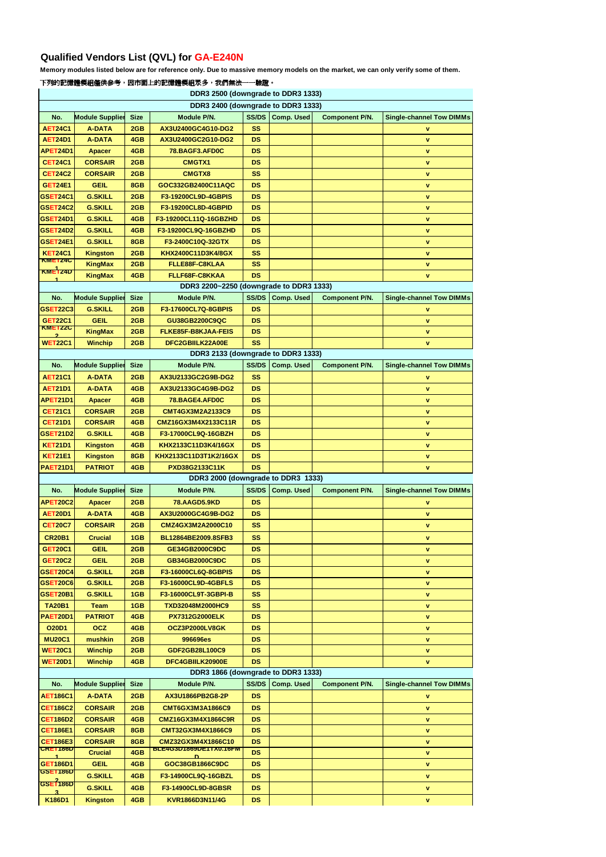## **下列的記憶體模組僅供參考,因市面上的記憶體模組眾多,我們無法一一驗證。**

| DDR3 2500 (downgrade to DDR3 1333) |                                   |             |                                         |                        |                   |                       |                                 |  |
|------------------------------------|-----------------------------------|-------------|-----------------------------------------|------------------------|-------------------|-----------------------|---------------------------------|--|
| DDR3 2400 (downgrade to DDR3 1333) |                                   |             |                                         |                        |                   |                       |                                 |  |
| No.                                | <b>Module Supplier</b>            | <b>Size</b> | <b>Module P/N.</b>                      | <b>SS/DS</b>           | <b>Comp. Used</b> | <b>Component P/N.</b> | <b>Single-channel Tow DIMMs</b> |  |
| <b>AET24C1</b>                     | <b>A-DATA</b>                     | 2GB         | AX3U2400GC4G10-DG2                      | <b>SS</b>              |                   |                       | v                               |  |
| <b>AET24D1</b>                     | <b>A-DATA</b>                     | 4GB         | AX3U2400GC2G10-DG2                      | <b>DS</b>              |                   |                       | V                               |  |
| APET24D1                           | <b>Apacer</b>                     | 4GB         | 78.BAGF3.AFD0C                          | <b>DS</b>              |                   |                       | V                               |  |
| <b>CET24C1</b>                     | <b>CORSAIR</b>                    | 2GB         | <b>CMGTX1</b>                           | <b>DS</b>              |                   |                       | $\pmb{\mathsf{v}}$              |  |
| <b>CET24C2</b>                     | <b>CORSAIR</b>                    | 2GB         | <b>CMGTX8</b>                           | <b>SS</b>              |                   |                       | <b>V</b>                        |  |
| <b>GET24E1</b>                     |                                   |             |                                         | <b>DS</b>              |                   |                       |                                 |  |
|                                    | <b>GEIL</b>                       | 8GB         | GOC332GB2400C11AQC                      |                        |                   |                       | $\pmb{\mathsf{v}}$              |  |
| GSET24C1                           | <b>G.SKILL</b>                    | 2GB         | F3-19200CL9D-4GBPIS                     | <b>DS</b>              |                   |                       | V                               |  |
| GSET24C2                           | <b>G.SKILL</b>                    | 2GB         | F3-19200CL8D-4GBPID                     | <b>DS</b>              |                   |                       | V                               |  |
| GSET24D1                           | <b>G.SKILL</b>                    | 4GB         | F3-19200CL11Q-16GBZHD                   | <b>DS</b>              |                   |                       | v                               |  |
| GSET24D2                           | <b>G.SKILL</b>                    | 4GB         | F3-19200CL9Q-16GBZHD                    | <b>DS</b>              |                   |                       | V                               |  |
| GSET24E1                           | <b>G.SKILL</b>                    | 8GB         | F3-2400C10Q-32GTX                       | <b>DS</b>              |                   |                       | V                               |  |
| <b>KET24C1</b>                     | <b>Kingston</b>                   | 2GB         | KHX2400C11D3K4/8GX                      | <b>SS</b>              |                   |                       | v                               |  |
| <b>KIMETZ4C</b>                    | <b>KingMax</b>                    | 2GB         | FLLE88F-C8KLAA                          | <b>SS</b>              |                   |                       | V                               |  |
| <b>KWETZ4D</b>                     | <b>KingMax</b>                    | 4GB         | FLLF68F-C8KKAA                          | <b>DS</b>              |                   |                       | V                               |  |
|                                    |                                   |             | DDR3 2200~2250 (downgrade to DDR3 1333) |                        |                   |                       |                                 |  |
| No.                                | <b>Module Supplier</b>            | <b>Size</b> | Module P/N.                             | <b>SS/DS</b>           | <b>Comp. Used</b> | <b>Component P/N.</b> | <b>Single-channel Tow DIMMs</b> |  |
| GSET22C3                           | <b>G.SKILL</b>                    | 2GB         | F3-17600CL7Q-8GBPIS                     | <b>DS</b>              |                   |                       | v                               |  |
| <b>GET22C1</b>                     | <b>GEIL</b>                       | 2GB         | GU38GB2200C9QC                          | <b>DS</b>              |                   |                       | v                               |  |
| <b>KME122C</b>                     |                                   |             |                                         |                        |                   |                       |                                 |  |
|                                    | <b>KingMax</b>                    | 2GB         | FLKE85F-B8KJAA-FEIS                     | <b>DS</b>              |                   |                       | V                               |  |
| <b>WET22C1</b>                     | <b>Winchip</b>                    | 2GB         | DFC2GBIILK22A00E                        | <b>SS</b>              |                   |                       | <b>V</b>                        |  |
|                                    |                                   |             | DDR3 2133 (downgrade to DDR3 1333)      |                        |                   |                       |                                 |  |
| No.                                | <b>Module Supplier</b>            | <b>Size</b> | <b>Module P/N.</b>                      | <b>SS/DS</b>           | <b>Comp. Used</b> | <b>Component P/N.</b> | <b>Single-channel Tow DIMMs</b> |  |
| <b>AET21C1</b>                     | <b>A-DATA</b>                     | 2GB         | AX3U2133GC2G9B-DG2                      | <b>SS</b>              |                   |                       | $\mathbf v$                     |  |
| <b>AET21D1</b>                     | <b>A-DATA</b>                     | 4GB         | AX3U2133GC4G9B-DG2                      | <b>DS</b>              |                   |                       | V                               |  |
| APET21D1                           | <b>Apacer</b>                     | 4GB         | 78.BAGE4.AFD0C                          | <b>DS</b>              |                   |                       | v                               |  |
| <b>CET21C1</b>                     | <b>CORSAIR</b>                    | 2GB         | <b>CMT4GX3M2A2133C9</b>                 | <b>DS</b>              |                   |                       | v.                              |  |
| <b>CET21D1</b>                     | <b>CORSAIR</b>                    | 4GB         | CMZ16GX3M4X2133C11R                     | <b>DS</b>              |                   |                       | $\mathbf{v}$                    |  |
| GSET21D2                           | <b>G.SKILL</b>                    | 4GB         | F3-17000CL9Q-16GBZH                     | <b>DS</b>              |                   |                       | $\mathbf{v}$                    |  |
| <b>KET21D1</b>                     | <b>Kingston</b>                   | 4GB         | KHX2133C11D3K4/16GX                     | <b>DS</b>              |                   |                       | $\mathbf{v}$                    |  |
| <b>KET21E1</b>                     | <b>Kingston</b>                   | 8GB         | KHX2133C11D3T1K2/16GX                   | <b>DS</b>              |                   |                       | $\mathbf{v}$                    |  |
| PAET21D1                           | <b>PATRIOT</b>                    | 4GB         | PXD38G2133C11K                          | <b>DS</b>              |                   |                       | <b>V</b>                        |  |
|                                    |                                   |             | DDR3 2000 (downgrade to DDR3 1333)      |                        |                   |                       |                                 |  |
|                                    |                                   |             |                                         |                        |                   |                       |                                 |  |
| No.                                | <b>Module Supplier</b>            | <b>Size</b> | Module P/N.                             | <b>SS/DS</b>           | <b>Comp. Used</b> | <b>Component P/N.</b> | <b>Single-channel Tow DIMMs</b> |  |
| APET20C2                           | <b>Apacer</b>                     | 2GB         | <b>78.AAGD5.9KD</b>                     | <b>DS</b>              |                   |                       | v                               |  |
| <b>AET20D1</b>                     | <b>A-DATA</b>                     | 4GB         | AX3U2000GC4G9B-DG2                      | <b>DS</b>              |                   |                       | v                               |  |
| <b>CET20C7</b>                     | <b>CORSAIR</b>                    | 2GB         | CMZ4GX3M2A2000C10                       | <b>SS</b>              |                   |                       | $\mathbf{v}$                    |  |
| <b>CR20B1</b>                      | <b>Crucial</b>                    | 1GB         | BL12864BE2009.8SFB3                     | <b>SS</b>              |                   |                       | $\mathbf{v}$                    |  |
| <b>GET20C1</b>                     | <b>GEIL</b>                       | 2GB         | GE34GB2000C9DC                          | <b>DS</b>              |                   |                       | $\mathbf{v}$                    |  |
| <b>GET20C2</b>                     | <b>GEIL</b>                       | 2GB         | GB34GB2000C9DC                          | <b>DS</b>              |                   |                       | $\pmb{\mathsf{V}}$              |  |
| GSET20C4                           | <b>G.SKILL</b>                    | 2GB         | F3-16000CL6Q-8GBPIS                     | <b>DS</b>              |                   |                       | $\pmb{\mathsf{V}}$              |  |
| GSET20C6                           | <b>G.SKILL</b>                    | 2GB         | F3-16000CL9D-4GBFLS                     | <b>DS</b>              |                   |                       | $\mathbf{v}$                    |  |
| <b>GSET20B1</b>                    | <b>G.SKILL</b>                    | 1GB         | F3-16000CL9T-3GBPI-B                    | <b>SS</b>              |                   |                       | $\mathbf{v}$                    |  |
| <b>TA20B1</b>                      | <b>Team</b>                       | 1GB         | <b>TXD32048M2000HC9</b>                 | <b>SS</b>              |                   |                       | $\mathbf{v}$                    |  |
| PAET20D1                           | <b>PATRIOT</b>                    | 4GB         | <b>PX7312G2000ELK</b>                   | <b>DS</b>              |                   |                       | $\pmb{\mathsf{V}}$              |  |
| <b>O20D1</b>                       | <b>OCZ</b>                        | 4GB         | OCZ3P2000LV8GK                          | <b>DS</b>              |                   |                       |                                 |  |
|                                    |                                   |             |                                         |                        |                   |                       | $\mathbf{v}$                    |  |
| <b>MU20C1</b>                      | mushkin                           | 2GB         | 996696es                                | <b>DS</b>              |                   |                       | $\mathbf{v}$                    |  |
| <b>WET20C1</b>                     | <b>Winchip</b>                    | 2GB         | GDF2GB28L100C9                          | <b>DS</b>              |                   |                       | $\pmb{\mathsf{v}}$              |  |
| <b>WET20D1</b>                     | <b>Winchip</b>                    | 4GB         | DFC4GBIILK20900E                        | <b>DS</b>              |                   |                       | <b>V</b>                        |  |
| DDR3 1866 (downgrade to DDR3 1333) |                                   |             |                                         |                        |                   |                       |                                 |  |
| No.                                | <b>Module Supplier</b>            | <b>Size</b> | Module P/N.                             | <b>SS/DS</b>           | <b>Comp. Used</b> | <b>Component P/N.</b> | <b>Single-channel Tow DIMMs</b> |  |
| <b>AET186C1</b>                    | <b>A-DATA</b>                     | 2GB         | AX3U1866PB2G8-2P                        | <b>DS</b>              |                   |                       | $\mathbf v$                     |  |
| <b>CET186C2</b>                    | <b>CORSAIR</b>                    | 2GB         | <b>CMT6GX3M3A1866C9</b>                 | <b>DS</b>              |                   |                       | v                               |  |
| <b>CET186D2</b>                    | <b>CORSAIR</b>                    | 4GB         | CMZ16GX3M4X1866C9R                      | <b>DS</b>              |                   |                       | $\mathbf{v}$                    |  |
| <b>CET186E1</b>                    | <b>CORSAIR</b>                    | 8GB         | CMT32GX3M4X1866C9                       | <b>DS</b>              |                   |                       | $\mathbf{v}$                    |  |
| <b>CET186E3</b>                    | <b>CORSAIR</b>                    | 8GB         | CMZ32GX3M4X1866C10                      | <b>DS</b>              |                   |                       | <b>V</b>                        |  |
| <b>CRET186D</b>                    | <b>Crucial</b>                    | 4GB         | BLE4G3D1869DE11X0.16FM                  | <b>DS</b>              |                   |                       | $\mathbf V$                     |  |
| <b>GET186D1</b>                    | <b>GEIL</b>                       | 4GB         | D.<br>GOC38GB1866C9DC                   | <b>DS</b>              |                   |                       | $\mathbf{v}$                    |  |
|                                    |                                   |             |                                         |                        |                   |                       |                                 |  |
| <b>GSET186D</b>                    |                                   |             |                                         |                        |                   |                       |                                 |  |
| <b>GSE1186D</b>                    | <b>G.SKILL</b>                    | 4GB         | F3-14900CL9Q-16GBZL                     | <b>DS</b>              |                   |                       | $\mathbf{v}$                    |  |
| K186D1                             | <b>G.SKILL</b><br><b>Kingston</b> | 4GB<br>4GB  | F3-14900CL9D-8GBSR<br>KVR1866D3N11/4G   | <b>DS</b><br><b>DS</b> |                   |                       | $\mathbf{v}$                    |  |

## **Qualified Vendors List (QVL) for GA-E240N**

Memory modules listed below are for reference only. Due to massive memory models on the market, we can only verify some of them.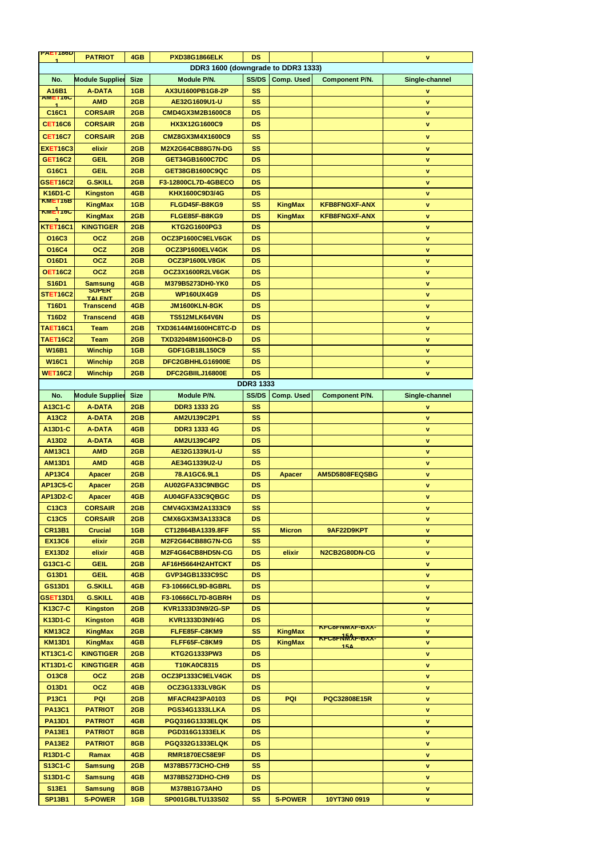| <b>PALIT86D</b>                    | <b>PATRIOT</b>             | 4GB         | <b>PXD38G1866ELK</b>     | <b>DS</b>        |                   |                        | V                  |
|------------------------------------|----------------------------|-------------|--------------------------|------------------|-------------------|------------------------|--------------------|
| DDR3 1600 (downgrade to DDR3 1333) |                            |             |                          |                  |                   |                        |                    |
| No.                                | <b>Module Supplier</b>     | <b>Size</b> | Module P/N.              | <b>SS/DS</b>     | <b>Comp. Used</b> | <b>Component P/N.</b>  | Single-channel     |
| A16B1<br><b>AMET10C</b>            | <b>A-DATA</b>              | 1GB         | AX3U1600PB1G8-2P         | <b>SS</b>        |                   |                        | V                  |
|                                    | <b>AMD</b>                 | 2GB         | AE32G1609U1-U            | <b>SS</b>        |                   |                        | $\mathbf{V}$       |
| C16C1                              | <b>CORSAIR</b>             | 2GB         | <b>CMD4GX3M2B1600C8</b>  | <b>DS</b>        |                   |                        | V                  |
| <b>CET16C6</b>                     | <b>CORSAIR</b>             | 2GB         | HX3X12G1600C9            | <b>DS</b>        |                   |                        | V                  |
| <b>CET16C7</b>                     | <b>CORSAIR</b>             | 2GB         | CMZ8GX3M4X1600C9         | <b>SS</b>        |                   |                        | V                  |
| <b>EXET16C3</b>                    | elixir                     | 2GB         | <b>M2X2G64CB88G7N-DG</b> | <b>SS</b>        |                   |                        | <b>V</b>           |
| <b>GET16C2</b>                     | <b>GEIL</b>                | 2GB         | <b>GET34GB1600C7DC</b>   | <b>DS</b>        |                   |                        | $\mathbf{V}$       |
| G16C1                              | <b>GEIL</b>                | 2GB         | GET38GB1600C9QC          | <b>DS</b>        |                   |                        | $\pmb{\mathsf{V}}$ |
| <b>GSET16C2</b>                    | <b>G.SKILL</b>             | 2GB         | F3-12800CL7D-4GBECO      | <b>DS</b>        |                   |                        | V                  |
| K16D1-C                            | <b>Kingston</b>            | 4GB         | KHX1600C9D3/4G           | <b>DS</b>        |                   |                        | $\pmb{\mathsf{V}}$ |
| <b>KMET16B</b>                     | <b>KingMax</b>             | 1GB         | FLGD45F-B8KG9            | <b>SS</b>        | <b>KingMax</b>    | <b>KFB8FNGXF-ANX</b>   | <b>V</b>           |
| <b>KME116C</b>                     | <b>KingMax</b>             | 2GB         | FLGE85F-B8KG9            | <b>DS</b>        | <b>KingMax</b>    | <b>KFB8FNGXF-ANX</b>   | V                  |
| <b>KTET16C1</b>                    | <b>KINGTIGER</b>           | 2GB         | KTG2G1600PG3             | <b>DS</b>        |                   |                        | $\pmb{\mathsf{V}}$ |
| O16C3                              | <b>OCZ</b>                 | 2GB         | OCZ3P1600C9ELV6GK        | <b>DS</b>        |                   |                        | V                  |
| <b>O16C4</b>                       | <b>OCZ</b>                 | 2GB         | OCZ3P1600ELV4GK          | <b>DS</b>        |                   |                        | V                  |
| O16D1                              | <b>OCZ</b>                 | 2GB         | OCZ3P1600LV8GK           | <b>DS</b>        |                   |                        | <b>V</b>           |
| <b>OET16C2</b>                     | <b>OCZ</b>                 | 2GB         | OCZ3X1600R2LV6GK         | <b>DS</b>        |                   |                        | $\mathbf{V}$       |
| <b>S16D1</b>                       | <b>Samsung</b>             | 4GB         | M379B5273DH0-YK0         | <b>DS</b>        |                   |                        | $\pmb{\mathsf{V}}$ |
| <b>STET16C2</b>                    | $50$ PER<br><b>TAI ENT</b> | 2GB         | <b>WP160UX4G9</b>        | <b>DS</b>        |                   |                        | V                  |
| <b>T16D1</b>                       | <b>Transcend</b>           | 4GB         | <b>JM1600KLN-8GK</b>     | <b>DS</b>        |                   |                        | $\pmb{\mathsf{V}}$ |
| <b>T16D2</b>                       | <b>Transcend</b>           | 4GB         | TS512MLK64V6N            | <b>DS</b>        |                   |                        | <b>V</b>           |
| <b>TAET16C1</b>                    | <b>Team</b>                | 2GB         | TXD36144M1600HC8TC-D     | <b>DS</b>        |                   |                        | V                  |
| <b>TAET16C2</b>                    | <b>Team</b>                | 2GB         | TXD32048M1600HC8-D       | <b>DS</b>        |                   |                        | $\pmb{\mathsf{V}}$ |
| <b>W16B1</b>                       | <b>Winchip</b>             | 1GB         | GDF1GB18L150C9           | <b>SS</b>        |                   |                        | <b>V</b>           |
| <b>W16C1</b>                       | <b>Winchip</b>             | 2GB         | DFC2GBHHLG16900E         | <b>DS</b>        |                   |                        | V                  |
| <b>WET16C2</b>                     | <b>Winchip</b>             | 2GB         | DFC2GBIILJ16800E         | <b>DS</b>        |                   |                        | V                  |
|                                    |                            |             |                          | <b>DDR3 1333</b> |                   |                        |                    |
| No.                                | <b>Module Supplier</b>     | <b>Size</b> | Module P/N.              | <b>SS/DS</b>     | <b>Comp. Used</b> | <b>Component P/N.</b>  | Single-channel     |
| A13C1-C                            | <b>A-DATA</b>              | 2GB         | <b>DDR3 1333 2G</b>      | <b>SS</b>        |                   |                        | V                  |
| A13C2                              | <b>A-DATA</b>              | 2GB         | AM2U139C2P1              | <b>SS</b>        |                   |                        | V                  |
| A13D1-C                            | <b>A-DATA</b>              | 4GB         | <b>DDR3 1333 4G</b>      | <b>DS</b>        |                   |                        | <b>V</b>           |
| A13D2                              | <b>A-DATA</b>              | 4GB         | <b>AM2U139C4P2</b>       | <b>DS</b>        |                   |                        | $\mathbf{V}$       |
| <b>AM13C1</b>                      | <b>AMD</b>                 | 2GB         | AE32G1339U1-U            | <b>SS</b>        |                   |                        | $\pmb{\mathsf{V}}$ |
| <b>AM13D1</b>                      | <b>AMD</b>                 | 4GB         | AE34G1339U2-U            | <b>DS</b>        |                   |                        | <b>V</b>           |
| <b>AP13C4</b>                      | <b>Apacer</b>              | 2GB         | 78.A1GC6.9L1             | <b>DS</b>        | <b>Apacer</b>     | AM5D5808FEQSBG         | V                  |
| <b>AP13C5-C</b>                    | <b>Apacer</b>              | 2GB         | AU02GFA33C9NBGC          | <b>DS</b>        |                   |                        | <b>V</b>           |
| <b>AP13D2-C</b>                    | <b>Apacer</b>              | 4GB         | AU04GFA33C9QBGC          | <b>DS</b>        |                   |                        | V                  |
| C13C3                              | <b>CORSAIR</b>             | 2GB         | CMV4GX3M2A1333C9         | <b>SS</b>        |                   |                        | $\pmb{\mathsf{V}}$ |
| C13C5                              | <b>CORSAIR</b>             | 2GB         | <b>CMX6GX3M3A1333C8</b>  | <b>DS</b>        |                   |                        | <b>V</b>           |
| <b>CR13B1</b>                      | <b>Crucial</b>             | 1GB         | CT12864BA1339.8FF        | <b>SS</b>        | <b>Micron</b>     | 9AF22D9KPT             | V                  |
| <b>EX13C6</b>                      | elixir                     | 2GB         | <b>M2F2G64CB88G7N-CG</b> | <b>SS</b>        |                   |                        | <b>V</b>           |
| <b>EX13D2</b>                      | elixir                     | 4GB         | M2F4G64CB8HD5N-CG        | <b>DS</b>        | elixir            | N2CB2G80DN-CG          | $\mathbf{V}$       |
| G13C1-C                            | <b>GEIL</b>                | 2GB         | AF16H5664H2AHTCKT        | <b>DS</b>        |                   |                        | $\pmb{\mathsf{V}}$ |
| G13D1                              | <b>GEIL</b>                | 4GB         | GVP34GB1333C9SC          | <b>DS</b>        |                   |                        | <b>V</b>           |
| <b>GS13D1</b>                      | <b>G.SKILL</b>             | 4GB         | F3-10666CL9D-8GBRL       | <b>DS</b>        |                   |                        | V                  |
| <b>GSET13D1</b>                    | <b>G.SKILL</b>             | 4GB         | F3-10666CL7D-8GBRH       | <b>DS</b>        |                   |                        | $\mathbf{V}$       |
| K13C7-C                            | <b>Kingston</b>            | 2GB         | KVR1333D3N9/2G-SP        | <b>DS</b>        |                   |                        | $\mathbf V$        |
| K13D1-C                            | <b>Kingston</b>            | 4GB         | KVR1333D3N9/4G           | <b>DS</b>        |                   |                        | V                  |
| <b>KM13C2</b>                      | <b>KingMax</b>             | 2GB         | FLFE85F-C8KM9            | <b>SS</b>        | <b>KingMax</b>    | <b>KFC8FNMAF-BAA-</b>  | V                  |
| <b>KM13D1</b>                      | <b>KingMax</b>             | 4GB         | FLFF65F-C8KM9            | <b>DS</b>        | <b>KingMax</b>    | <u>ҡҥҫӿҥӍ҉Ѧ҇Ӿҥҽӿӿ҂</u> | V                  |
| <b>KT13C1-C</b>                    | <b>KINGTIGER</b>           | 2GB         | <b>KTG2G1333PW3</b>      | <b>DS</b>        |                   | 15 <sub>A</sub>        | <b>V</b>           |
| <b>KT13D1-C</b>                    | <b>KINGTIGER</b>           | 4GB         | T10KA0C8315              | <b>DS</b>        |                   |                        | $\mathbf V$        |
| <b>O13C8</b>                       | <b>OCZ</b>                 | 2GB         | OCZ3P1333C9ELV4GK        | <b>DS</b>        |                   |                        | V                  |
| O13D1                              | <b>OCZ</b>                 | 4GB         | <b>OCZ3G1333LV8GK</b>    | <b>DS</b>        |                   |                        | V                  |
| <b>P13C1</b>                       | <b>PQI</b>                 | 2GB         | <b>MFACR423PA0103</b>    | <b>DS</b>        | <b>PQI</b>        | <b>PQC32808E15R</b>    | <b>V</b>           |
| <b>PA13C1</b>                      | <b>PATRIOT</b>             | 2GB         | PGS34G1333LLKA           | <b>DS</b>        |                   |                        | v.                 |
| <b>PA13D1</b>                      | <b>PATRIOT</b>             | 4GB         | <b>PGQ316G1333ELQK</b>   | <b>DS</b>        |                   |                        | $\mathbf{V}$       |
| <b>PA13E1</b>                      | <b>PATRIOT</b>             | 8GB         | <b>PGD316G1333ELK</b>    | <b>DS</b>        |                   |                        | $\mathbf{V}$       |
| <b>PA13E2</b>                      | <b>PATRIOT</b>             | 8GB         | <b>PGQ332G1333ELQK</b>   | <b>DS</b>        |                   |                        | V.                 |
| <b>R13D1-C</b>                     | Ramax                      | 4GB         | <b>RMR1870EC58E9F</b>    | <b>DS</b>        |                   |                        | $\mathbf{V}$       |
| <b>S13C1-C</b>                     | <b>Samsung</b>             | 2GB         | <b>M378B5773CHO-CH9</b>  | <b>SS</b>        |                   |                        | v.                 |
| <b>S13D1-C</b>                     | <b>Samsung</b>             | 4GB         | M378B5273DHO-CH9         | <b>DS</b>        |                   |                        | $\mathbf{V}$       |
| <b>S13E1</b>                       | <b>Samsung</b>             | 8GB         | <b>M378B1G73AHO</b>      | <b>DS</b>        |                   |                        | $\mathbf{V}$       |
| <b>SP13B1</b>                      | <b>S-POWER</b>             | 1GB         | SP001GBLTU133S02         | <b>SS</b>        | <b>S-POWER</b>    | 10YT3N0 0919           | v.                 |
|                                    |                            |             |                          |                  |                   |                        |                    |